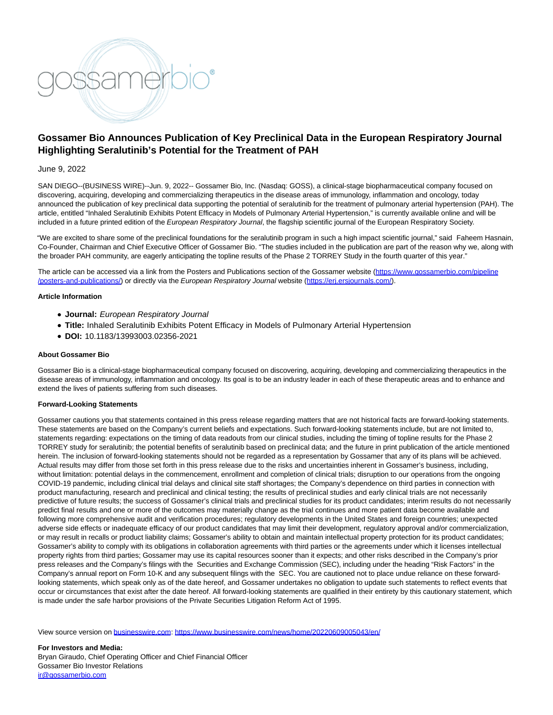

# **Gossamer Bio Announces Publication of Key Preclinical Data in the European Respiratory Journal Highlighting Seralutinib's Potential for the Treatment of PAH**

## June 9, 2022

SAN DIEGO--(BUSINESS WIRE)--Jun. 9, 2022-- Gossamer Bio, Inc. (Nasdaq: GOSS), a clinical-stage biopharmaceutical company focused on discovering, acquiring, developing and commercializing therapeutics in the disease areas of immunology, inflammation and oncology, today announced the publication of key preclinical data supporting the potential of seralutinib for the treatment of pulmonary arterial hypertension (PAH). The article, entitled "Inhaled Seralutinib Exhibits Potent Efficacy in Models of Pulmonary Arterial Hypertension," is currently available online and will be included in a future printed edition of the European Respiratory Journal, the flagship scientific journal of the European Respiratory Society.

"We are excited to share some of the preclinical foundations for the seralutinib program in such a high impact scientific journal," said Faheem Hasnain, Co-Founder, Chairman and Chief Executive Officer of Gossamer Bio. "The studies included in the publication are part of the reason why we, along with the broader PAH community, are eagerly anticipating the topline results of the Phase 2 TORREY Study in the fourth quarter of this year."

The article can be accessed via a link from the Posters and Publications section of the Gossamer website [\(https://www.gossamerbio.com/pipeline](https://cts.businesswire.com/ct/CT?id=smartlink&url=https%3A%2F%2Fwww.gossamerbio.com%2Fpipeline%2Fposters-and-publications%2F&esheet=52742340&newsitemid=20220609005043&lan=en-US&anchor=https%3A%2F%2Fwww.gossamerbio.com%2Fpipeline%2Fposters-and-publications%2F&index=1&md5=7da34d9657d82729c8b01ed8506377cd) /posters-and-publications/) or directly via the European Respiratory Journal website [\(https://erj.ersjournals.com/\).](https://cts.businesswire.com/ct/CT?id=smartlink&url=https%3A%2F%2Ferj.ersjournals.com%2F&esheet=52742340&newsitemid=20220609005043&lan=en-US&anchor=https%3A%2F%2Ferj.ersjournals.com%2F&index=2&md5=a4d0355fa68667b5875ceb01525a01b7)

### **Article Information**

- **Journal:** European Respiratory Journal
- **Title:** Inhaled Seralutinib Exhibits Potent Efficacy in Models of Pulmonary Arterial Hypertension
- **DOI:** 10.1183/13993003.02356-2021

### **About Gossamer Bio**

Gossamer Bio is a clinical-stage biopharmaceutical company focused on discovering, acquiring, developing and commercializing therapeutics in the disease areas of immunology, inflammation and oncology. Its goal is to be an industry leader in each of these therapeutic areas and to enhance and extend the lives of patients suffering from such diseases.

#### **Forward-Looking Statements**

Gossamer cautions you that statements contained in this press release regarding matters that are not historical facts are forward-looking statements. These statements are based on the Company's current beliefs and expectations. Such forward-looking statements include, but are not limited to, statements regarding: expectations on the timing of data readouts from our clinical studies, including the timing of topline results for the Phase 2 TORREY study for seralutinib; the potential benefits of seralutinib based on preclinical data; and the future in print publication of the article mentioned herein. The inclusion of forward-looking statements should not be regarded as a representation by Gossamer that any of its plans will be achieved. Actual results may differ from those set forth in this press release due to the risks and uncertainties inherent in Gossamer's business, including, without limitation: potential delays in the commencement, enrollment and completion of clinical trials; disruption to our operations from the ongoing COVID-19 pandemic, including clinical trial delays and clinical site staff shortages; the Company's dependence on third parties in connection with product manufacturing, research and preclinical and clinical testing; the results of preclinical studies and early clinical trials are not necessarily predictive of future results; the success of Gossamer's clinical trials and preclinical studies for its product candidates; interim results do not necessarily predict final results and one or more of the outcomes may materially change as the trial continues and more patient data become available and following more comprehensive audit and verification procedures; regulatory developments in the United States and foreign countries; unexpected adverse side effects or inadequate efficacy of our product candidates that may limit their development, regulatory approval and/or commercialization, or may result in recalls or product liability claims; Gossamer's ability to obtain and maintain intellectual property protection for its product candidates; Gossamer's ability to comply with its obligations in collaboration agreements with third parties or the agreements under which it licenses intellectual property rights from third parties; Gossamer may use its capital resources sooner than it expects; and other risks described in the Company's prior press releases and the Company's filings with the Securities and Exchange Commission (SEC), including under the heading "Risk Factors" in the Company's annual report on Form 10-K and any subsequent filings with the SEC. You are cautioned not to place undue reliance on these forwardlooking statements, which speak only as of the date hereof, and Gossamer undertakes no obligation to update such statements to reflect events that occur or circumstances that exist after the date hereof. All forward-looking statements are qualified in their entirety by this cautionary statement, which is made under the safe harbor provisions of the Private Securities Litigation Reform Act of 1995.

View source version on [businesswire.com:](http://businesswire.com/)<https://www.businesswire.com/news/home/20220609005043/en/>

**For Investors and Media:** Bryan Giraudo, Chief Operating Officer and Chief Financial Officer Gossamer Bio Investor Relations [ir@gossamerbio.com](mailto:ir@gossamerbio.com)